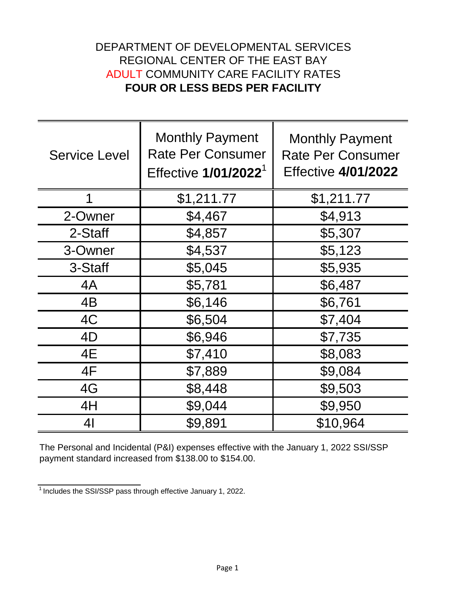## DEPARTMENT OF DEVELOPMENTAL SERVICES REGIONAL CENTER OF THE EAST BAY ADULT COMMUNITY CARE FACILITY RATES **FOUR OR LESS BEDS PER FACILITY**

| <b>Service Level</b> | <b>Monthly Payment</b><br><b>Rate Per Consumer</b><br>Effective 1/01/2022 <sup>1</sup> | <b>Monthly Payment</b><br><b>Rate Per Consumer</b><br><b>Effective 4/01/2022</b> |
|----------------------|----------------------------------------------------------------------------------------|----------------------------------------------------------------------------------|
| 1                    | \$1,211.77                                                                             | \$1,211.77                                                                       |
| 2-Owner              | \$4,467                                                                                | \$4,913                                                                          |
| 2-Staff              | \$4,857                                                                                | \$5,307                                                                          |
| 3-Owner              | \$4,537                                                                                | \$5,123                                                                          |
| 3-Staff              | \$5,045                                                                                | \$5,935                                                                          |
| 4A                   | \$5,781                                                                                | \$6,487                                                                          |
| 4B                   | \$6,146                                                                                | \$6,761                                                                          |
| 4C                   | \$6,504                                                                                | \$7,404                                                                          |
| 4D                   | \$6,946                                                                                | \$7,735                                                                          |
| 4E                   | \$7,410                                                                                | \$8,083                                                                          |
| 4F                   | \$7,889                                                                                | \$9,084                                                                          |
| 4G                   | \$8,448                                                                                | \$9,503                                                                          |
| 4H                   | \$9,044                                                                                | \$9,950                                                                          |
| 4 <sub>l</sub>       | \$9,891                                                                                | \$10,964                                                                         |

The Personal and Incidental (P&I) expenses effective with the January 1, 2022 SSI/SSP payment standard increased from \$138.00 to \$154.00.

 $\frac{1}{1}$  Includes the SSI/SSP pass through effective January 1, 2022.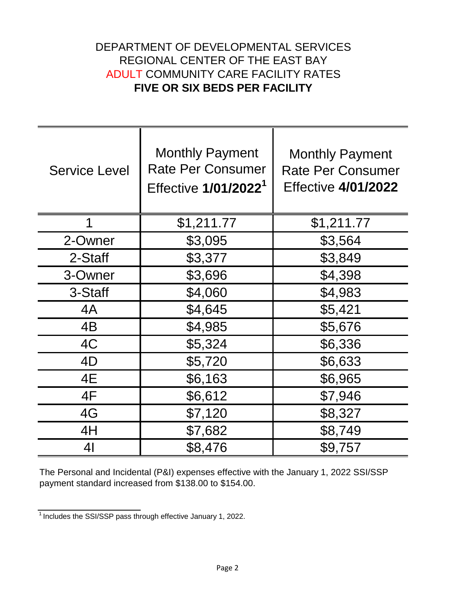## DEPARTMENT OF DEVELOPMENTAL SERVICES REGIONAL CENTER OF THE EAST BAY ADULT COMMUNITY CARE FACILITY RATES **FIVE OR SIX BEDS PER FACILITY**

| <b>Service Level</b> | <b>Monthly Payment</b><br><b>Rate Per Consumer</b><br>Effective 1/01/2022 <sup>1</sup> | <b>Monthly Payment</b><br><b>Rate Per Consumer</b><br><b>Effective 4/01/2022</b> |
|----------------------|----------------------------------------------------------------------------------------|----------------------------------------------------------------------------------|
| 1                    | \$1,211.77                                                                             | \$1,211.77                                                                       |
| 2-Owner              | \$3,095                                                                                | \$3,564                                                                          |
| 2-Staff              | \$3,377                                                                                | \$3,849                                                                          |
| 3-Owner              | \$3,696                                                                                | \$4,398                                                                          |
| 3-Staff              | \$4,060                                                                                | \$4,983                                                                          |
| 4A                   | \$4,645                                                                                | \$5,421                                                                          |
| 4B                   | \$4,985                                                                                | \$5,676                                                                          |
| 4C                   | \$5,324                                                                                | \$6,336                                                                          |
| 4D                   | \$5,720                                                                                | \$6,633                                                                          |
| 4E                   | \$6,163                                                                                | \$6,965                                                                          |
| 4F                   | \$6,612                                                                                | \$7,946                                                                          |
| 4G                   | \$7,120                                                                                | \$8,327                                                                          |
| 4H                   | \$7,682                                                                                | \$8,749                                                                          |
| 41                   | \$8,476                                                                                | \$9,757                                                                          |

The Personal and Incidental (P&I) expenses effective with the January 1, 2022 SSI/SSP payment standard increased from \$138.00 to \$154.00.

 $\frac{1}{1}$  Includes the SSI/SSP pass through effective January 1, 2022.